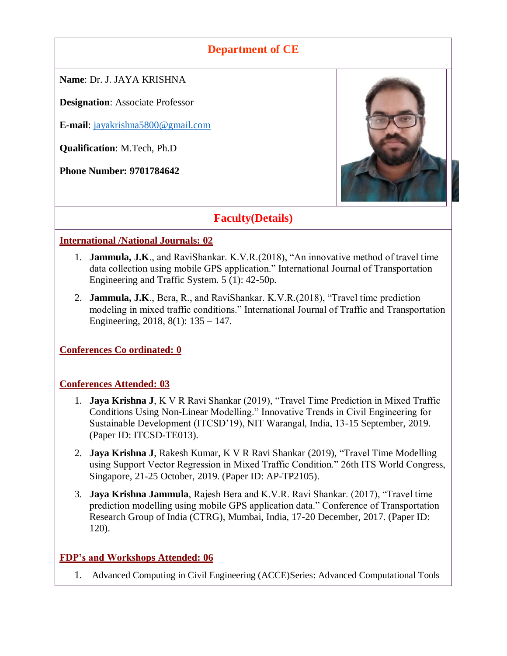# **Department of CE**

**Name**: Dr. J. JAYA KRISHNA

**Designation**: Associate Professor

**E-mail**: [jayakrishna5800@gmail.com](mailto:jayakrishna5800@gmail.com)

**Qualification**: M.Tech, Ph.D

**Phone Number: 9701784642**



# **Faculty(Details)**

### **International /National Journals: 02**

- 1. **Jammula, J.K**., and RaviShankar. K.V.R.(2018), "An innovative method of travel time data collection using mobile GPS application." International Journal of Transportation Engineering and Traffic System. 5 (1): 42-50p.
- 2. **Jammula, J.K**., Bera, R., and RaviShankar. K.V.R.(2018), "Travel time prediction modeling in mixed traffic conditions." International Journal of Traffic and Transportation Engineering, 2018, 8(1): 135 – 147.

**Conferences Co ordinated: 0**

### **Conferences Attended: 03**

- 1. **Jaya Krishna J**, K V R Ravi Shankar (2019), "Travel Time Prediction in Mixed Traffic Conditions Using Non-Linear Modelling." Innovative Trends in Civil Engineering for Sustainable Development (ITCSD'19), NIT Warangal, India, 13-15 September, 2019. (Paper ID: ITCSD-TE013).
- 2. **Jaya Krishna J**, Rakesh Kumar, K V R Ravi Shankar (2019), "Travel Time Modelling using Support Vector Regression in Mixed Traffic Condition." 26th ITS World Congress, Singapore, 21-25 October, 2019. (Paper ID: AP-TP2105).
- 3. **Jaya Krishna Jammula**, Rajesh Bera and K.V.R. Ravi Shankar. (2017), "Travel time prediction modelling using mobile GPS application data." Conference of Transportation Research Group of India (CTRG), Mumbai, India, 17-20 December, 2017. (Paper ID: 120).

### **FDP's and Workshops Attended: 06**

1. Advanced Computing in Civil Engineering (ACCE)Series: Advanced Computational Tools